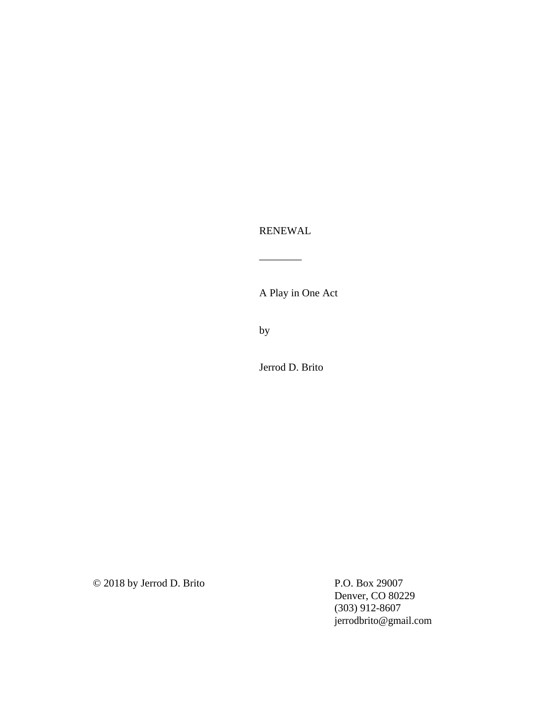RENEWAL

\_\_\_\_\_\_\_\_

A Play in One Act

by

Jerrod D. Brito

© 2018 by Jerrod D. Brito

P.O. Box 29007 Denver, CO 80229 (303) 912-8607 jerrodbrito@gmail.com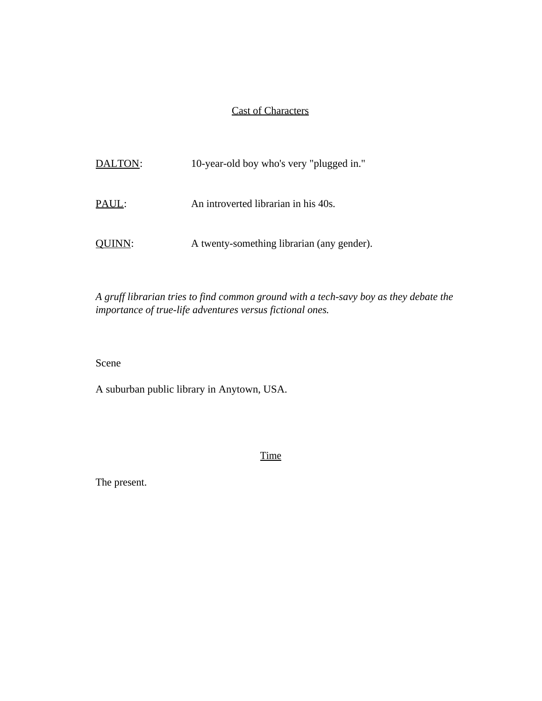## Cast of Characters

| DALTON: | 10-year-old boy who's very "plugged in."   |
|---------|--------------------------------------------|
| PAUL:   | An introverted librarian in his 40s.       |
| OUINN:  | A twenty-something librarian (any gender). |

*A gruff librarian tries to find common ground with a tech-savy boy as they debate the importance of true-life adventures versus fictional ones.* 

Scene

A suburban public library in Anytown, USA.

Time

The present.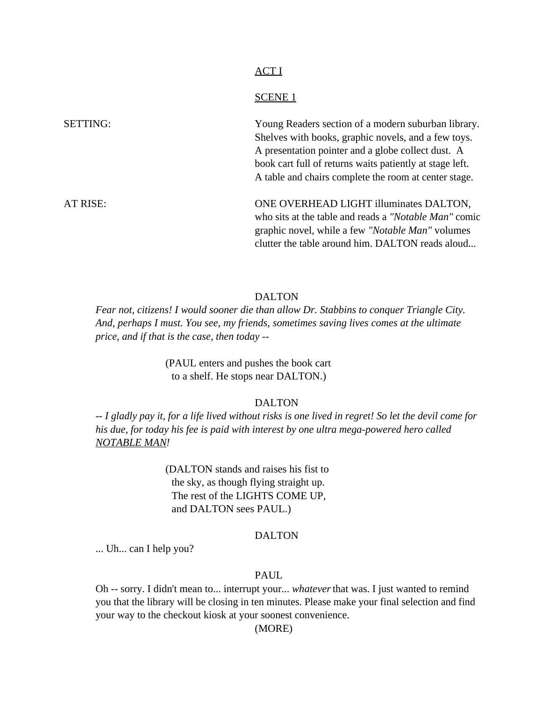### ACT I

## SCENE 1

| <b>SETTING:</b> | Young Readers section of a modern suburban library.      |
|-----------------|----------------------------------------------------------|
|                 | Shelves with books, graphic novels, and a few toys.      |
|                 | A presentation pointer and a globe collect dust. A       |
|                 | book cart full of returns waits patiently at stage left. |
|                 | A table and chairs complete the room at center stage.    |
| AT RISE:        | ONE OVERHEAD LIGHT illuminates DALTON,                   |
|                 | who sits at the table and reads a "Notable Man" comic    |
|                 | graphic novel, while a few "Notable Man" volumes         |
|                 | clutter the table around him. DALTON reads aloud         |

### DALTON

*Fear not, citizens! I would sooner die than allow Dr. Stabbins to conquer Triangle City. And, perhaps I must. You see, my friends, sometimes saving lives comes at the ultimate price, and if that is the case, then today --*

> (PAUL enters and pushes the book cart to a shelf. He stops near DALTON.)

## DALTON

*-- I gladly pay it, for a life lived without risks is one lived in regret! So let the devil come for his due, for today his fee is paid with interest by one ultra mega-powered hero called NOTABLE MAN!*

> (DALTON stands and raises his fist to the sky, as though flying straight up. The rest of the LIGHTS COME UP, and DALTON sees PAUL.)

### DALTON

... Uh... can I help you?

## PAUL

Oh -- sorry. I didn't mean to... interrupt your... *whatever* that was. I just wanted to remind you that the library will be closing in ten minutes. Please make your final selection and find your way to the checkout kiosk at your soonest convenience.

(MORE)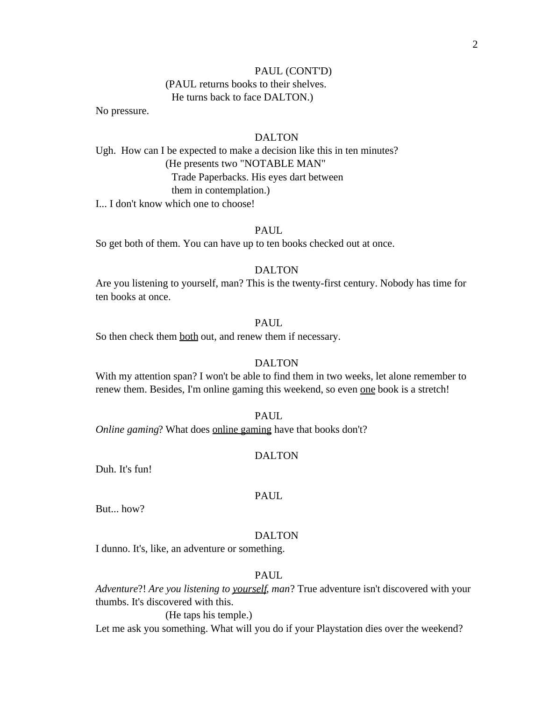## PAUL (CONT'D) (PAUL returns books to their shelves.

He turns back to face DALTON.)

No pressure.

## DALTON

Ugh. How can I be expected to make a decision like this in ten minutes? (He presents two "NOTABLE MAN" Trade Paperbacks. His eyes dart between them in contemplation.)

I... I don't know which one to choose!

## PAUL

So get both of them. You can have up to ten books checked out at once.

## DALTON

Are you listening to yourself, man? This is the twenty-first century. Nobody has time for ten books at once.

## PAUL.

So then check them both out, and renew them if necessary.

## DALTON

With my attention span? I won't be able to find them in two weeks, let alone remember to renew them. Besides, I'm online gaming this weekend, so even one book is a stretch!

### PAUL.

*Online gaming*? What does **online gaming** have that books don't?

### DALTON

Duh. It's fun!

# PAUL

But... how?

## DALTON

I dunno. It's, like, an adventure or something.

## PAUL

*Adventure*?! *Are you listening to yourself, man*? True adventure isn't discovered with your thumbs. It's discovered with this.

(He taps his temple.)

Let me ask you something. What will you do if your Playstation dies over the weekend?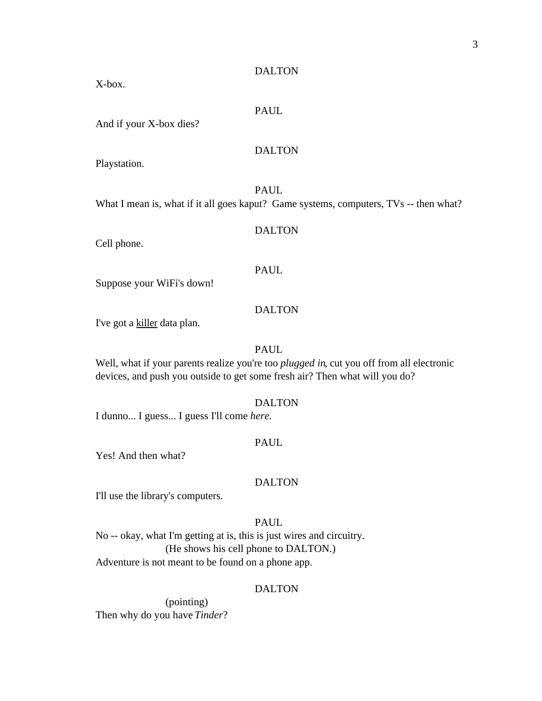X-box.

## PAUL

And if your X-box dies?

## DALTON

Playstation.

PAUL What I mean is, what if it all goes kaput? Game systems, computers, TVs -- then what?

## DALTON

Cell phone.

### PAUL

Suppose your WiFi's down!

## DALTON

I've got a killer data plan.

## PAUL

Well, what if your parents realize you're too *plugged in*, cut you off from all electronic devices, and push you outside to get some fresh air? Then what will you do?

### DALTON

I dunno... I guess... I guess I'll come *here*.

### PAUL

Yes! And then what?

## DALTON

I'll use the library's computers.

## PAUL

No -- okay, what I'm getting at is, this is just wires and circuitry. (He shows his cell phone to DALTON.) Adventure is not meant to be found on a phone app.

### DALTON

(pointing) Then why do you have *Tinder*?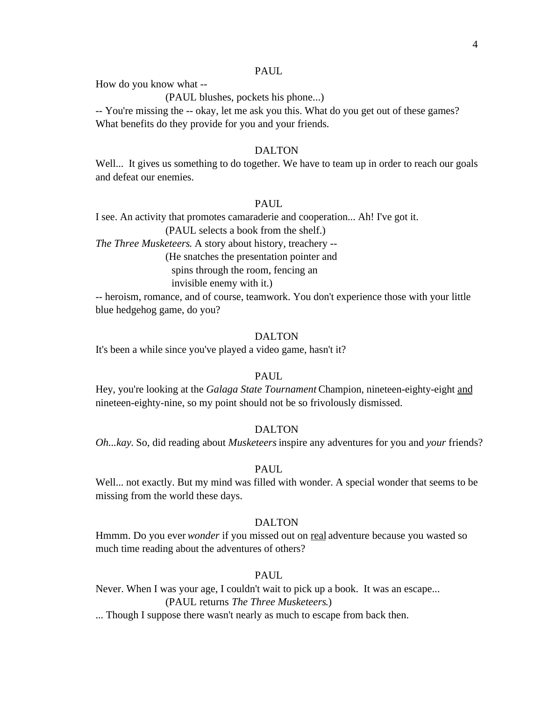### PAUL

How do you know what --

(PAUL blushes, pockets his phone...)

-- You're missing the -- okay, let me ask you this. What do you get out of these games? What benefits do they provide for you and your friends.

## DALTON

Well... It gives us something to do together. We have to team up in order to reach our goals and defeat our enemies.

## PAUL

I see. An activity that promotes camaraderie and cooperation... Ah! I've got it.

(PAUL selects a book from the shelf.)

*The Three Musketeers*. A story about history, treachery --

(He snatches the presentation pointer and

spins through the room, fencing an

invisible enemy with it.)

-- heroism, romance, and of course, teamwork. You don't experience those with your little blue hedgehog game, do you?

## DALTON

It's been a while since you've played a video game, hasn't it?

### PAUL

Hey, you're looking at the *Galaga State Tournament* Champion, nineteen-eighty-eight and nineteen-eighty-nine, so my point should not be so frivolously dismissed.

#### DALTON

*Oh...kay*. So, did reading about *Musketeers* inspire any adventures for you and *your* friends?

## PAUL.

Well... not exactly. But my mind was filled with wonder. A special wonder that seems to be missing from the world these days.

### DALTON

Hmmm. Do you ever *wonder* if you missed out on real adventure because you wasted so much time reading about the adventures of others?

## PAUL

Never. When I was your age, I couldn't wait to pick up a book. It was an escape... (PAUL returns *The Three Musketeers*.)

... Though I suppose there wasn't nearly as much to escape from back then.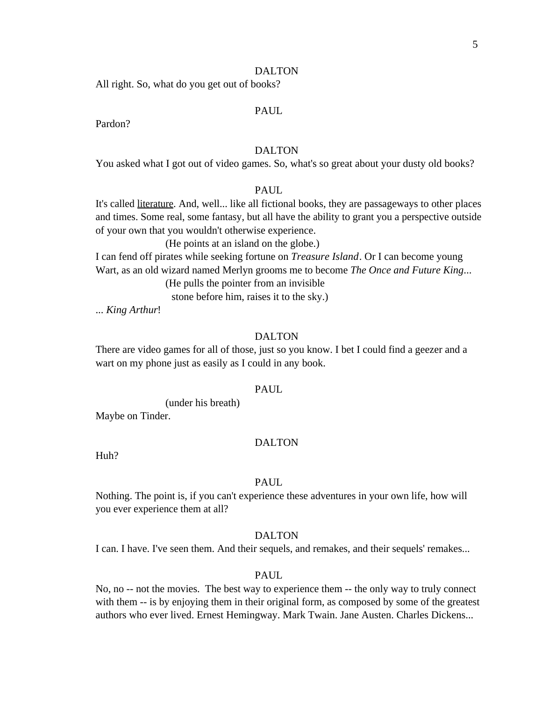All right. So, what do you get out of books?

#### PAUL

Pardon?

## DALTON

You asked what I got out of video games. So, what's so great about your dusty old books?

## PAUL

It's called literature. And, well... like all fictional books, they are passageways to other places and times. Some real, some fantasy, but all have the ability to grant you a perspective outside of your own that you wouldn't otherwise experience.

(He points at an island on the globe.)

I can fend off pirates while seeking fortune on *Treasure Island*. Or I can become young Wart, as an old wizard named Merlyn grooms me to become *The Once and Future King*...

(He pulls the pointer from an invisible

stone before him, raises it to the sky.)

... *King Arthur*!

### DALTON

There are video games for all of those, just so you know. I bet I could find a geezer and a wart on my phone just as easily as I could in any book.

### PAUL

(under his breath)

Maybe on Tinder.

### DALTON

Huh?

### PAUL

Nothing. The point is, if you can't experience these adventures in your own life, how will you ever experience them at all?

## DALTON

I can. I have. I've seen them. And their sequels, and remakes, and their sequels' remakes...

### PAUL

No, no -- not the movies. The best way to experience them -- the only way to truly connect with them  $-$  is by enjoying them in their original form, as composed by some of the greatest authors who ever lived. Ernest Hemingway. Mark Twain. Jane Austen. Charles Dickens...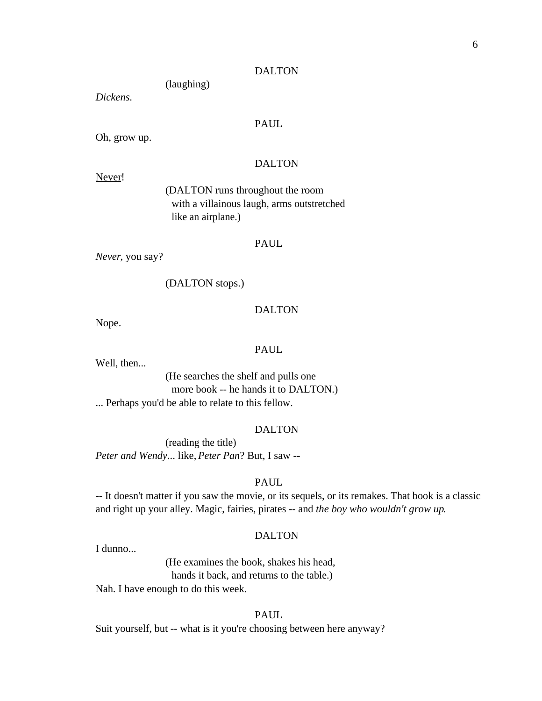(laughing)

*Dickens.*

## PAUL

Oh, grow up.

## DALTON

Never!

(DALTON runs throughout the room with a villainous laugh, arms outstretched like an airplane.)

### PAUL

*Never*, you say?

(DALTON stops.)

### DALTON

Nope.

### PAUL

Well, then...

(He searches the shelf and pulls one more book -- he hands it to DALTON.) ... Perhaps you'd be able to relate to this fellow.

### DALTON

(reading the title) *Peter and Wendy*... like, *Peter Pan*? But, I saw --

## PAUL

-- It doesn't matter if you saw the movie, or its sequels, or its remakes. That book is a classic and right up your alley. Magic, fairies, pirates -- and *the boy who wouldn't grow up*.

### DALTON

I dunno...

(He examines the book, shakes his head, hands it back, and returns to the table.)

Nah. I have enough to do this week.

## PAUL.

Suit yourself, but -- what is it you're choosing between here anyway?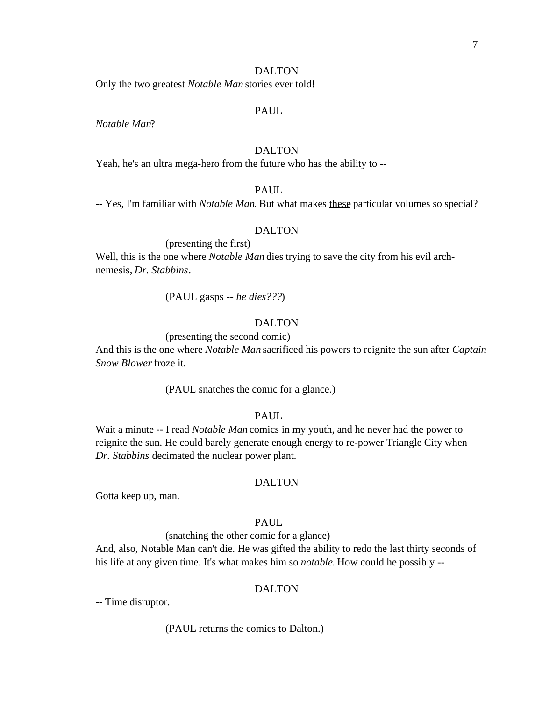Only the two greatest *Notable Man* stories ever told!

### PAUL

*Notable Man*?

## DALTON

Yeah, he's an ultra mega-hero from the future who has the ability to --

## PAUL

-- Yes, I'm familiar with *Notable Man*. But what makes these particular volumes so special?

#### DALTON

(presenting the first) Well, this is the one where *Notable Man* dies trying to save the city from his evil archnemesis, *Dr. Stabbins*.

(PAUL gasps -- *he dies???*)

## DALTON

### (presenting the second comic)

And this is the one where *Notable Man* sacrificed his powers to reignite the sun after *Captain Snow Blower* froze it.

(PAUL snatches the comic for a glance.)

## PAUL.

Wait a minute -- I read *Notable Man* comics in my youth, and he never had the power to reignite the sun. He could barely generate enough energy to re-power Triangle City when *Dr. Stabbins* decimated the nuclear power plant.

## DALTON

Gotta keep up, man.

## PAUL

(snatching the other comic for a glance)

And, also, Notable Man can't die. He was gifted the ability to redo the last thirty seconds of his life at any given time. It's what makes him so *notable*. How could he possibly --

## DALTON

-- Time disruptor.

### (PAUL returns the comics to Dalton.)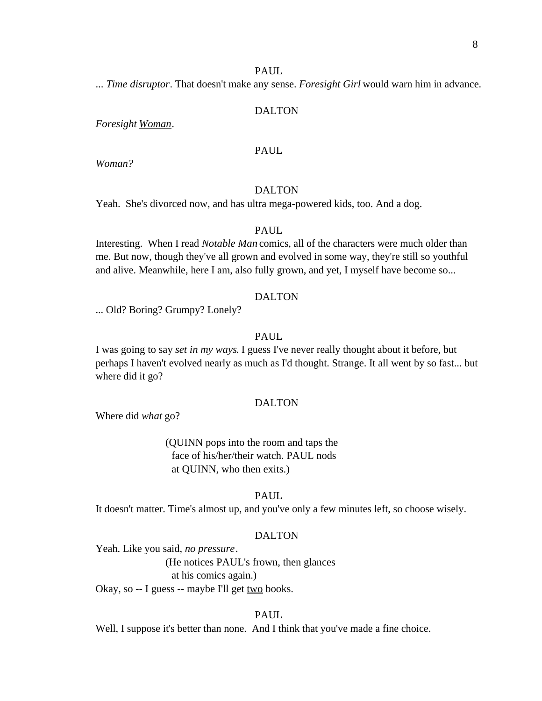#### PAUL

... *Time disruptor*. That doesn't make any sense. *Foresight Girl* would warn him in advance.

### DALTON

*Foresight Woman*.

## PAUL

*Woman?*

## DALTON

Yeah. She's divorced now, and has ultra mega-powered kids, too. And a dog.

### PAUL

Interesting. When I read *Notable Man* comics, all of the characters were much older than me. But now, though they've all grown and evolved in some way, they're still so youthful and alive. Meanwhile, here I am, also fully grown, and yet, I myself have become so...

### DALTON

... Old? Boring? Grumpy? Lonely?

## PAUL

I was going to say *set in my ways*. I guess I've never really thought about it before, but perhaps I haven't evolved nearly as much as I'd thought. Strange. It all went by so fast... but where did it go?

#### DALTON

Where did *what* go?

(QUINN pops into the room and taps the face of his/her/their watch. PAUL nods at QUINN, who then exits.)

### PAUL

It doesn't matter. Time's almost up, and you've only a few minutes left, so choose wisely.

### DALTON

Yeah. Like you said, *no pressure*.

(He notices PAUL's frown, then glances at his comics again.)

Okay, so -- I guess -- maybe I'll get two books.

## PAUL.

Well, I suppose it's better than none. And I think that you've made a fine choice.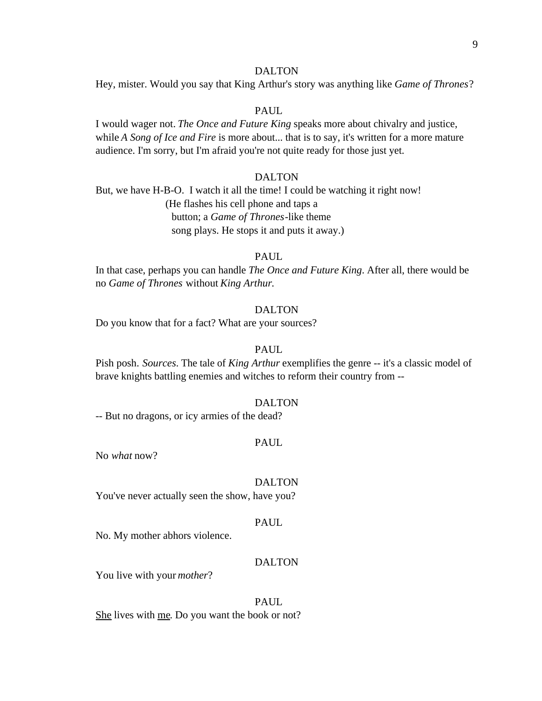Hey, mister. Would you say that King Arthur's story was anything like *Game of Thrones*?

### PAUL.

I would wager not. *The Once and Future King* speaks more about chivalry and justice, while *A Song of Ice and Fire* is more about... that is to say, it's written for a more mature audience. I'm sorry, but I'm afraid you're not quite ready for those just yet.

## DALTON

But, we have H-B-O. I watch it all the time! I could be watching it right now! (He flashes his cell phone and taps a button; a *Game of Thrones*-like theme song plays. He stops it and puts it away.)

#### PAUL

In that case, perhaps you can handle *The Once and Future King*. After all, there would be no *Game of Thrones* without *King Arthur*.

## DALTON

Do you know that for a fact? What are your sources?

### PAUL

Pish posh. *Sources*. The tale of *King Arthur* exemplifies the genre -- it's a classic model of brave knights battling enemies and witches to reform their country from --

### DALTON

-- But no dragons, or icy armies of the dead?

### PAUL

No *what* now?

### DALTON

You've never actually seen the show, have you?

### PAUL

No. My mother abhors violence.

### DALTON

You live with your *mother*?

## PAUL

She lives with me. Do you want the book or not?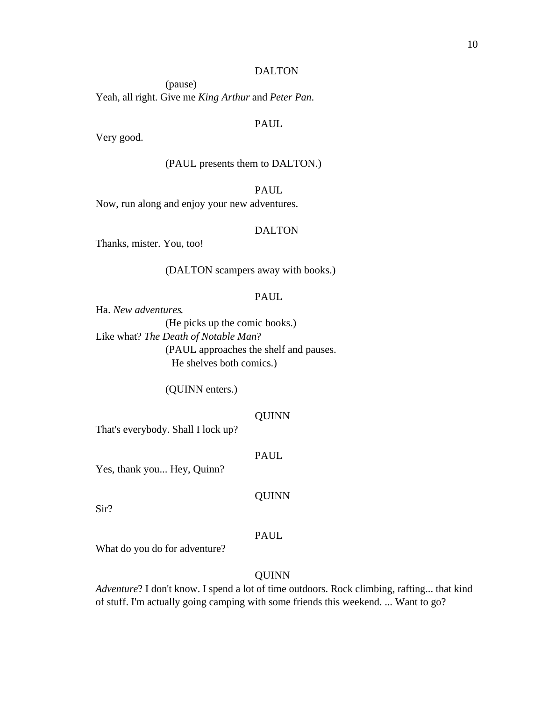(pause) Yeah, all right. Give me *King Arthur* and *Peter Pan*.

## PAUL

Very good.

(PAUL presents them to DALTON.)

PAUL

Now, run along and enjoy your new adventures.

## DALTON

Thanks, mister. You, too!

(DALTON scampers away with books.)

### PAUL

Ha. *New adventures*. (He picks up the comic books.) Like what? *The Death of Notable Man*? (PAUL approaches the shelf and pauses. He shelves both comics.)

(QUINN enters.)

### QUINN

That's everybody. Shall I lock up?

### PAUL

Yes, thank you... Hey, Quinn?

QUINN

Sir?

### PAUL

What do you do for adventure?

## **QUINN**

*Adventure*? I don't know. I spend a lot of time outdoors. Rock climbing, rafting... that kind of stuff. I'm actually going camping with some friends this weekend. ... Want to go?